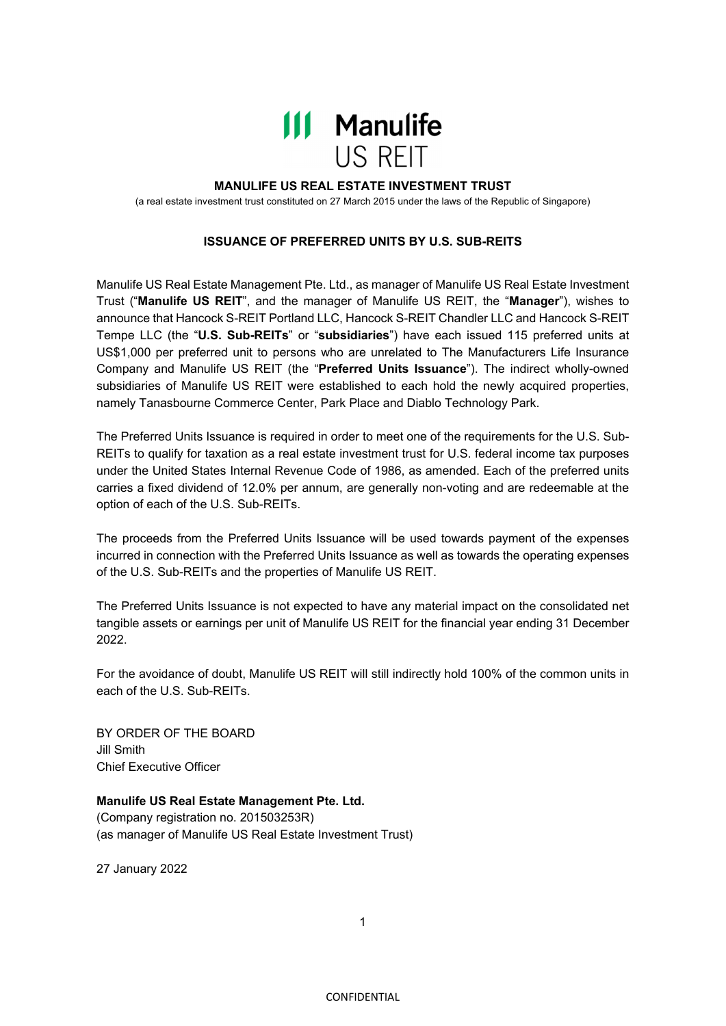

## **MANULIFE US REAL ESTATE INVESTMENT TRUST**

(a real estate investment trust constituted on 27 March 2015 under the laws of the Republic of Singapore)

## **ISSUANCE OF PREFERRED UNITS BY U.S. SUB-REITS**

Manulife US Real Estate Management Pte. Ltd., as manager of Manulife US Real Estate Investment Trust ("**Manulife US REIT**", and the manager of Manulife US REIT, the "**Manager**"), wishes to announce that Hancock S-REIT Portland LLC, Hancock S-REIT Chandler LLC and Hancock S-REIT Tempe LLC (the "**U.S. Sub-REITs**" or "**subsidiaries**") have each issued 115 preferred units at US\$1,000 per preferred unit to persons who are unrelated to The Manufacturers Life Insurance Company and Manulife US REIT (the "**Preferred Units Issuance**"). The indirect wholly-owned subsidiaries of Manulife US REIT were established to each hold the newly acquired properties, namely Tanasbourne Commerce Center, Park Place and Diablo Technology Park.

The Preferred Units Issuance is required in order to meet one of the requirements for the U.S. Sub-REITs to qualify for taxation as a real estate investment trust for U.S. federal income tax purposes under the United States Internal Revenue Code of 1986, as amended. Each of the preferred units carries a fixed dividend of 12.0% per annum, are generally non-voting and are redeemable at the option of each of the U.S. Sub-REITs.

The proceeds from the Preferred Units Issuance will be used towards payment of the expenses incurred in connection with the Preferred Units Issuance as well as towards the operating expenses of the U.S. Sub-REITs and the properties of Manulife US REIT.

The Preferred Units Issuance is not expected to have any material impact on the consolidated net tangible assets or earnings per unit of Manulife US REIT for the financial year ending 31 December 2022.

For the avoidance of doubt, Manulife US REIT will still indirectly hold 100% of the common units in each of the U.S. Sub-REITs.

BY ORDER OF THE BOARD Jill Smith Chief Executive Officer

**Manulife US Real Estate Management Pte. Ltd.**  (Company registration no. 201503253R) (as manager of Manulife US Real Estate Investment Trust)

27 January 2022

1